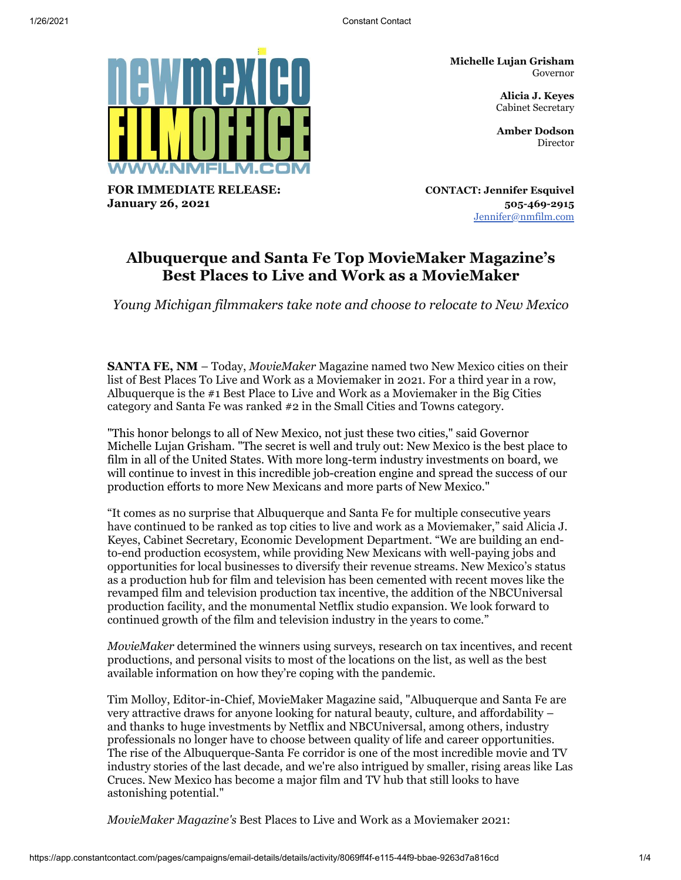**Michelle Lujan Grisham** Governor

> **Alicia J. Keyes** Cabinet Secretary

**Amber Dodson** Director

**FOR IMMEDIATE RELEASE: January 26, 2021**

**CONTACT: Jennifer Esquivel 505-469-2915** [Jennifer@nmfilm.com](mailto:jennifer@nmfilm.com)

# **Albuquerque and Santa Fe Top MovieMaker Magazine's Best Places to Live and Work as a MovieMaker**

*Young Michigan filmmakers take note and choose to relocate to New Mexico*

**SANTA FE, NM** – Today, *MovieMaker* Magazine named two New Mexico cities on their list of Best Places To Live and Work as a Moviemaker in 2021. For a third year in a row, Albuquerque is the #1 Best Place to Live and Work as a Moviemaker in the Big Cities category and Santa Fe was ranked #2 in the Small Cities and Towns category.

"This honor belongs to all of New Mexico, not just these two cities," said Governor Michelle Lujan Grisham. "The secret is well and truly out: New Mexico is the best place to film in all of the United States. With more long-term industry investments on board, we will continue to invest in this incredible job-creation engine and spread the success of our production efforts to more New Mexicans and more parts of New Mexico."

"It comes as no surprise that Albuquerque and Santa Fe for multiple consecutive years have continued to be ranked as top cities to live and work as a Moviemaker," said Alicia J. Keyes, Cabinet Secretary, Economic Development Department. "We are building an endto-end production ecosystem, while providing New Mexicans with well-paying jobs and opportunities for local businesses to diversify their revenue streams. New Mexico's status as a production hub for film and television has been cemented with recent moves like the revamped film and television production tax incentive, the addition of the NBCUniversal production facility, and the monumental Netflix studio expansion. We look forward to continued growth of the film and television industry in the years to come."

*MovieMaker* determined the winners using surveys, research on tax incentives, and recent productions, and personal visits to most of the locations on the list, as well as the best available information on how they're coping with the pandemic.

Tim Molloy, Editor-in-Chief, MovieMaker Magazine said, "Albuquerque and Santa Fe are very attractive draws for anyone looking for natural beauty, culture, and affordability – and thanks to huge investments by Netflix and NBCUniversal, among others, industry professionals no longer have to choose between quality of life and career opportunities. The rise of the Albuquerque-Santa Fe corridor is one of the most incredible movie and TV industry stories of the last decade, and we're also intrigued by smaller, rising areas like Las Cruces. New Mexico has become a major film and TV hub that still looks to have astonishing potential."

*MovieMaker Magazine's* Best Places to Live and Work as a Moviemaker 2021: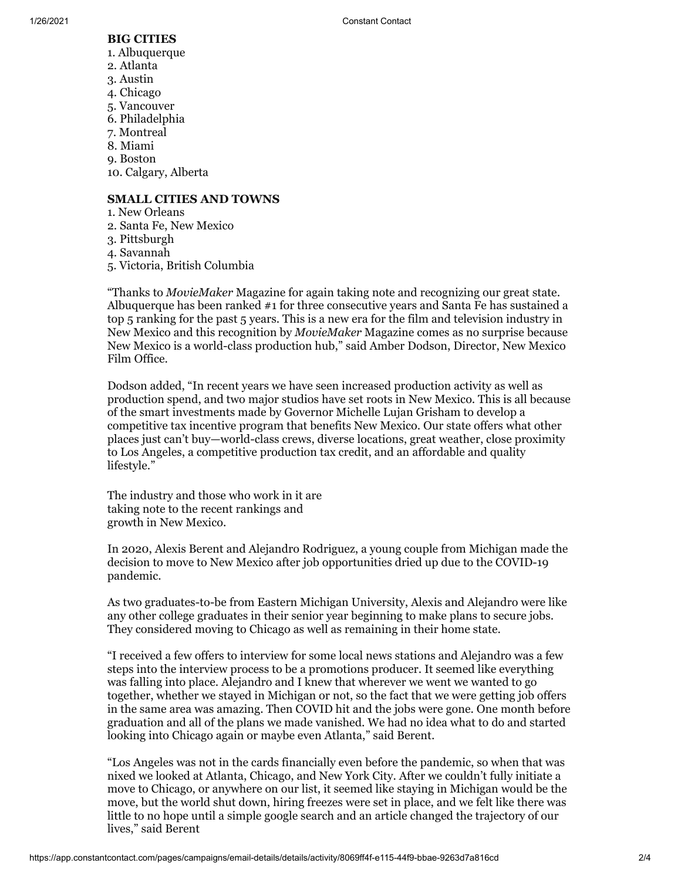#### **BIG CITIES**

- 1. Albuquerque
- 2. Atlanta
- 3. Austin
- 4. Chicago
- 5. Vancouver
- 6. Philadelphia
- 7. Montreal
- 8. Miami
- 9. Boston

10. Calgary, Alberta

## **SMALL CITIES AND TOWNS**

- 1. New Orleans
- 2. Santa Fe, New Mexico
- 3. Pittsburgh
- 4. Savannah
- 5. Victoria, British Columbia

"Thanks to *MovieMaker* Magazine for again taking note and recognizing our great state. Albuquerque has been ranked #1 for three consecutive years and Santa Fe has sustained a top 5 ranking for the past 5 years. This is a new era for the film and television industry in New Mexico and this recognition by *MovieMaker* Magazine comes as no surprise because New Mexico is a world-class production hub," said Amber Dodson, Director, New Mexico Film Office.

Dodson added, "In recent years we have seen increased production activity as well as production spend, and two major studios have set roots in New Mexico. This is all because of the smart investments made by Governor Michelle Lujan Grisham to develop a competitive tax incentive program that benefits New Mexico. Our state offers what other places just can't buy—world-class crews, diverse locations, great weather, close proximity to Los Angeles, a competitive production tax credit, and an affordable and quality lifestyle."

The industry and those who work in it are taking note to the recent rankings and growth in New Mexico.

In 2020, Alexis Berent and Alejandro Rodriguez, a young couple from Michigan made the decision to move to New Mexico after job opportunities dried up due to the COVID-19 pandemic.

As two graduates-to-be from Eastern Michigan University, Alexis and Alejandro were like any other college graduates in their senior year beginning to make plans to secure jobs. They considered moving to Chicago as well as remaining in their home state.

"I received a few offers to interview for some local news stations and Alejandro was a few steps into the interview process to be a promotions producer. It seemed like everything was falling into place. Alejandro and I knew that wherever we went we wanted to go together, whether we stayed in Michigan or not, so the fact that we were getting job offers in the same area was amazing. Then COVID hit and the jobs were gone. One month before graduation and all of the plans we made vanished. We had no idea what to do and started looking into Chicago again or maybe even Atlanta," said Berent.

"Los Angeles was not in the cards financially even before the pandemic, so when that was nixed we looked at Atlanta, Chicago, and New York City. After we couldn't fully initiate a move to Chicago, or anywhere on our list, it seemed like staying in Michigan would be the move, but the world shut down, hiring freezes were set in place, and we felt like there was little to no hope until a simple google search and an article changed the trajectory of our lives," said Berent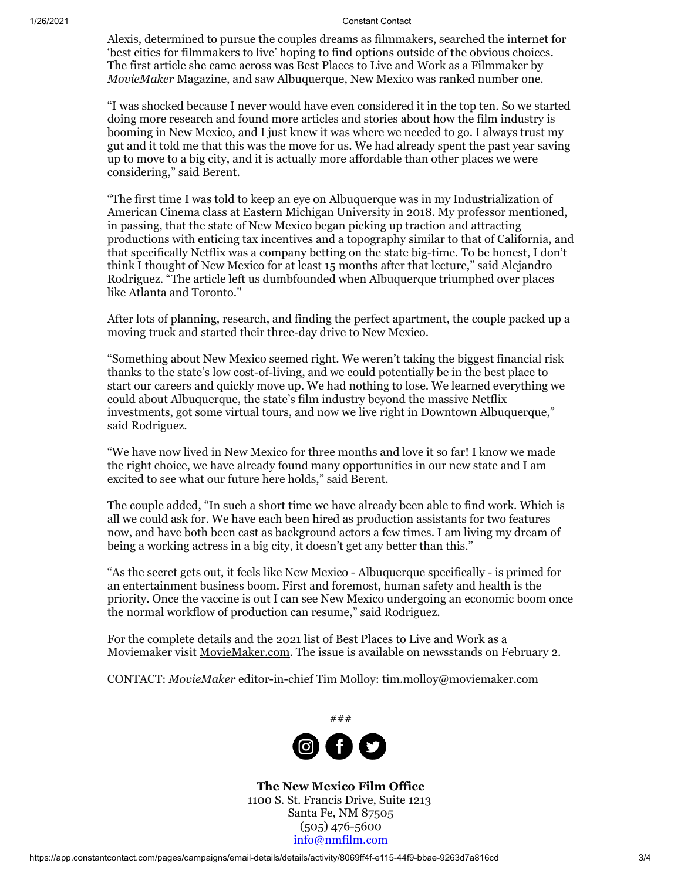#### 1/26/2021 Constant Contact

Alexis, determined to pursue the couples dreams as filmmakers, searched the internet for 'best cities for filmmakers to live' hoping to find options outside of the obvious choices. The first article she came across was Best Places to Live and Work as a Filmmaker by *MovieMaker* Magazine, and saw Albuquerque, New Mexico was ranked number one.

"I was shocked because I never would have even considered it in the top ten. So we started doing more research and found more articles and stories about how the film industry is booming in New Mexico, and I just knew it was where we needed to go. I always trust my gut and it told me that this was the move for us. We had already spent the past year saving up to move to a big city, and it is actually more affordable than other places we were considering," said Berent.

"The first time I was told to keep an eye on Albuquerque was in my Industrialization of American Cinema class at Eastern Michigan University in 2018. My professor mentioned, in passing, that the state of New Mexico began picking up traction and attracting productions with enticing tax incentives and a topography similar to that of California, and that specifically Netflix was a company betting on the state big-time. To be honest, I don't think I thought of New Mexico for at least 15 months after that lecture," said Alejandro Rodriguez. "The article left us dumbfounded when Albuquerque triumphed over places like Atlanta and Toronto."

After lots of planning, research, and finding the perfect apartment, the couple packed up a moving truck and started their three-day drive to New Mexico.

"Something about New Mexico seemed right. We weren't taking the biggest financial risk thanks to the state's low cost-of-living, and we could potentially be in the best place to start our careers and quickly move up. We had nothing to lose. We learned everything we could about Albuquerque, the state's film industry beyond the massive Netflix investments, got some virtual tours, and now we live right in Downtown Albuquerque," said Rodriguez.

"We have now lived in New Mexico for three months and love it so far! I know we made the right choice, we have already found many opportunities in our new state and I am excited to see what our future here holds," said Berent.

The couple added, "In such a short time we have already been able to find work. Which is all we could ask for. We have each been hired as production assistants for two features now, and have both been cast as background actors a few times. I am living my dream of being a working actress in a big city, it doesn't get any better than this."

"As the secret gets out, it feels like New Mexico - Albuquerque specifically - is primed for an entertainment business boom. First and foremost, human safety and health is the priority. Once the vaccine is out I can see New Mexico undergoing an economic boom once the normal workflow of production can resume," said Rodriguez.

For the complete details and the 2021 list of Best Places to Live and Work as a Moviemaker visit [MovieMaker.com.](https://www.moviemaker.com/) The issue is available on newsstands on February 2.

CONTACT: *MovieMaker* editor-in-chief Tim Molloy: tim.molloy@moviemaker.com



**The New Mexico Film Office** 1100 S. St. Francis Drive, Suite 1213 Santa Fe, NM 87505 (505) 476-5600 [info@nmfilm.com](mailto:info@nmfilm.com)